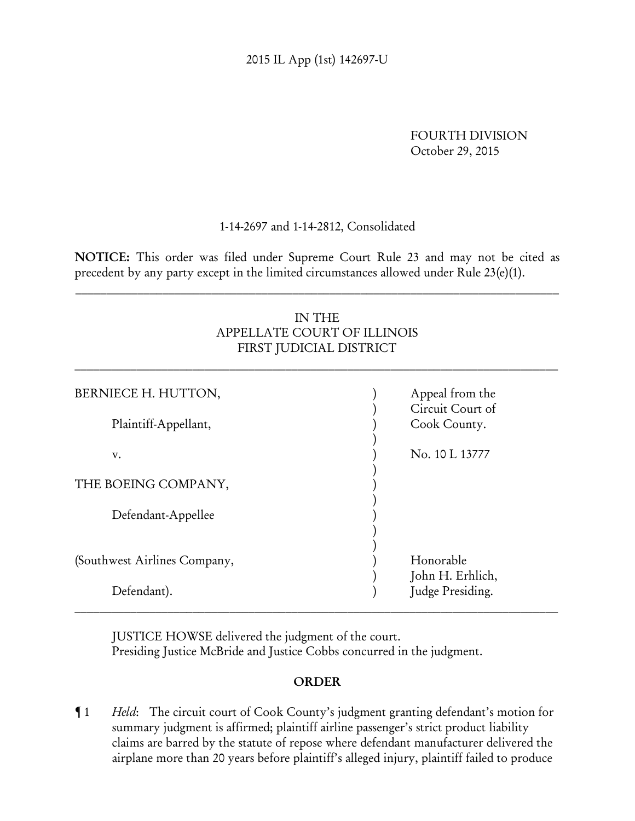FOURTH DIVISION October 29, 2015

## 1-14-2697 and 1-14-2812, Consolidated

NOTICE: This order was filed under Supreme Court Rule 23 and may not be cited as precedent by any party except in the limited circumstances allowed under Rule 23(e)(1).

 $\_$  , and the contribution of the contribution of the contribution of the contribution of the contribution of  $\mathcal{L}$ 

# IN THE APPELLATE COURT OF ILLINOIS FIRST JUDICIAL DISTRICT

 $\_$  , and the contribution of the contribution of the contribution of the contribution of the contribution of  $\mathcal{L}_\text{max}$ 

| BERNIECE H. HUTTON,          | Appeal from the<br>Circuit Court of |
|------------------------------|-------------------------------------|
| Plaintiff-Appellant,         | Cook County.                        |
| v.                           | No. 10 L 13777                      |
| THE BOEING COMPANY,          |                                     |
| Defendant-Appellee           |                                     |
| (Southwest Airlines Company, | Honorable<br>John H. Erhlich,       |
| Defendant).                  | Judge Presiding.                    |

JUSTICE HOWSE delivered the judgment of the court. Presiding Justice McBride and Justice Cobbs concurred in the judgment.

## ORDER

¶ 1 *Held*: The circuit court of Cook County's judgment granting defendant's motion for summary judgment is affirmed; plaintiff airline passenger's strict product liability claims are barred by the statute of repose where defendant manufacturer delivered the airplane more than 20 years before plaintiff's alleged injury, plaintiff failed to produce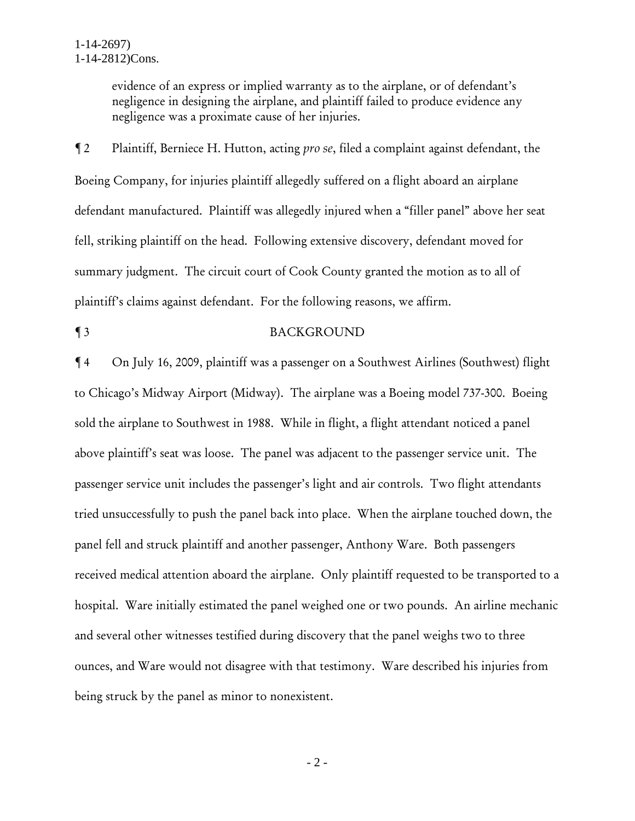evidence of an express or implied warranty as to the airplane, or of defendant's negligence in designing the airplane, and plaintiff failed to produce evidence any negligence was a proximate cause of her injuries.

¶ 2 Plaintiff, Berniece H. Hutton, acting *pro se*, filed a complaint against defendant, the Boeing Company, for injuries plaintiff allegedly suffered on a flight aboard an airplane defendant manufactured. Plaintiff was allegedly injured when a "filler panel" above her seat fell, striking plaintiff on the head. Following extensive discovery, defendant moved for summary judgment. The circuit court of Cook County granted the motion as to all of plaintiff's claims against defendant. For the following reasons, we affirm.

### ¶ 3 BACKGROUND

¶ 4 On July 16, 2009, plaintiff was a passenger on a Southwest Airlines (Southwest) flight to Chicago's Midway Airport (Midway). The airplane was a Boeing model 737-300. Boeing sold the airplane to Southwest in 1988. While in flight, a flight attendant noticed a panel above plaintiff's seat was loose. The panel was adjacent to the passenger service unit. The passenger service unit includes the passenger's light and air controls. Two flight attendants tried unsuccessfully to push the panel back into place. When the airplane touched down, the panel fell and struck plaintiff and another passenger, Anthony Ware. Both passengers received medical attention aboard the airplane. Only plaintiff requested to be transported to a hospital. Ware initially estimated the panel weighed one or two pounds. An airline mechanic and several other witnesses testified during discovery that the panel weighs two to three ounces, and Ware would not disagree with that testimony. Ware described his injuries from being struck by the panel as minor to nonexistent.

- 2 -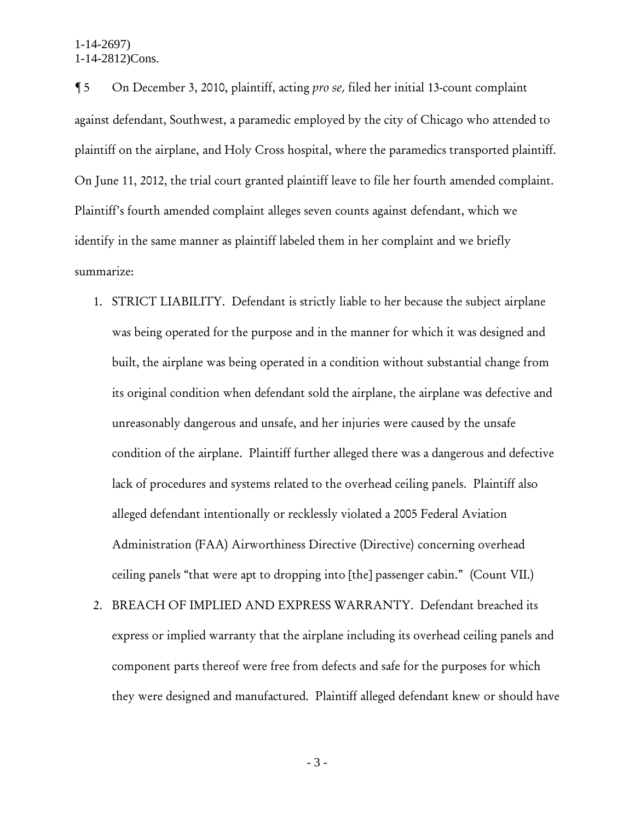¶ 5 On December 3, 2010, plaintiff, acting *pro se*, filed her initial 13-count complaint against defendant, Southwest, a paramedic employed by the city of Chicago who attended to plaintiff on the airplane, and Holy Cross hospital, where the paramedics transported plaintiff. On June 11, 2012, the trial court granted plaintiff leave to file her fourth amended complaint. Plaintiff's fourth amended complaint alleges seven counts against defendant, which we identify in the same manner as plaintiff labeled them in her complaint and we briefly summarize:

- 1. STRICT LIABILITY. Defendant is strictly liable to her because the subject airplane was being operated for the purpose and in the manner for which it was designed and built, the airplane was being operated in a condition without substantial change from its original condition when defendant sold the airplane, the airplane was defective and unreasonably dangerous and unsafe, and her injuries were caused by the unsafe condition of the airplane. Plaintiff further alleged there was a dangerous and defective lack of procedures and systems related to the overhead ceiling panels. Plaintiff also alleged defendant intentionally or recklessly violated a 2005 Federal Aviation Administration (FAA) Airworthiness Directive (Directive) concerning overhead ceiling panels "that were apt to dropping into [the] passenger cabin." (Count VII.)
- 2. BREACH OF IMPLIED AND EXPRESS WARRANTY. Defendant breached its express or implied warranty that the airplane including its overhead ceiling panels and component parts thereof were free from defects and safe for the purposes for which they were designed and manufactured. Plaintiff alleged defendant knew or should have

- 3 -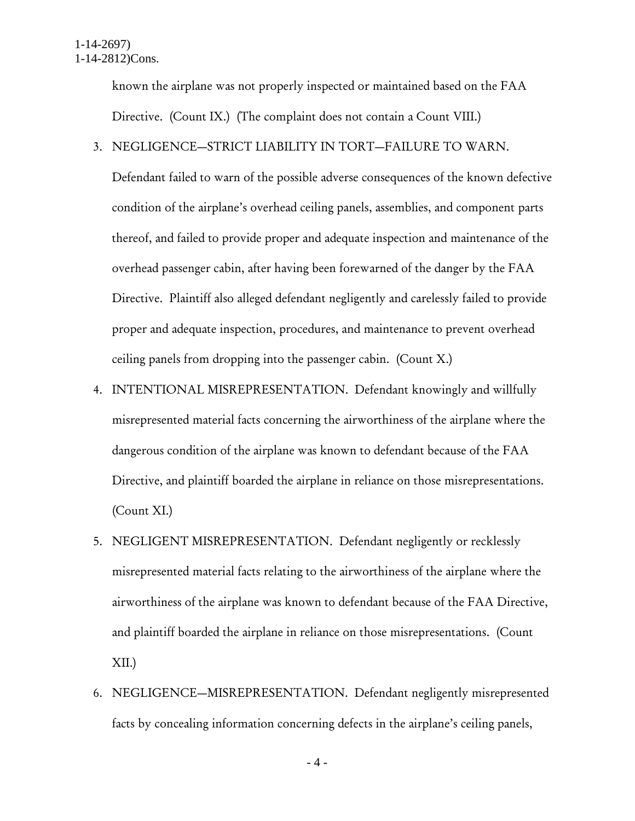known the airplane was not properly inspected or maintained based on the FAA Directive. (Count IX.) (The complaint does not contain a Count VIII.)

### 3. NEGLIGENCE—STRICT LIABILITY IN TORT—FAILURE TO WARN.

Defendant failed to warn of the possible adverse consequences of the known defective condition of the airplane's overhead ceiling panels, assemblies, and component parts thereof, and failed to provide proper and adequate inspection and maintenance of the overhead passenger cabin, after having been forewarned of the danger by the FAA Directive. Plaintiff also alleged defendant negligently and carelessly failed to provide proper and adequate inspection, procedures, and maintenance to prevent overhead ceiling panels from dropping into the passenger cabin. (Count X.)

- 4. INTENTIONAL MISREPRESENTATION. Defendant knowingly and willfully misrepresented material facts concerning the airworthiness of the airplane where the dangerous condition of the airplane was known to defendant because of the FAA Directive, and plaintiff boarded the airplane in reliance on those misrepresentations. (Count XI.)
- 5. NEGLIGENT MISREPRESENTATION. Defendant negligently or recklessly misrepresented material facts relating to the airworthiness of the airplane where the airworthiness of the airplane was known to defendant because of the FAA Directive, and plaintiff boarded the airplane in reliance on those misrepresentations. (Count XII.)
- 6. NEGLIGENCE—MISREPRESENTATION. Defendant negligently misrepresented facts by concealing information concerning defects in the airplane's ceiling panels,

- 4 -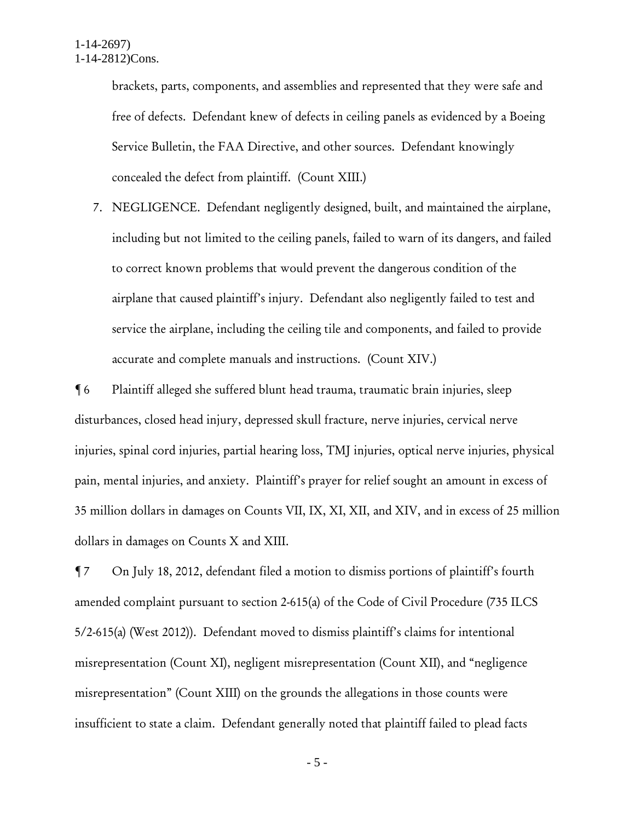brackets, parts, components, and assemblies and represented that they were safe and free of defects. Defendant knew of defects in ceiling panels as evidenced by a Boeing Service Bulletin, the FAA Directive, and other sources. Defendant knowingly concealed the defect from plaintiff. (Count XIII.)

7. NEGLIGENCE. Defendant negligently designed, built, and maintained the airplane, including but not limited to the ceiling panels, failed to warn of its dangers, and failed to correct known problems that would prevent the dangerous condition of the airplane that caused plaintiff's injury. Defendant also negligently failed to test and service the airplane, including the ceiling tile and components, and failed to provide accurate and complete manuals and instructions. (Count XIV.)

¶ 6 Plaintiff alleged she suffered blunt head trauma, traumatic brain injuries, sleep disturbances, closed head injury, depressed skull fracture, nerve injuries, cervical nerve injuries, spinal cord injuries, partial hearing loss, TMJ injuries, optical nerve injuries, physical pain, mental injuries, and anxiety. Plaintiff's prayer for relief sought an amount in excess of 35 million dollars in damages on Counts VII, IX, XI, XII, and XIV, and in excess of 25 million dollars in damages on Counts X and XIII.

¶ 7 On July 18, 2012, defendant filed a motion to dismiss portions of plaintiff's fourth amended complaint pursuant to section 2-615(a) of the Code of Civil Procedure (735 ILCS 5/2-615(a) (West 2012)). Defendant moved to dismiss plaintiff's claims for intentional misrepresentation (Count XI), negligent misrepresentation (Count XII), and "negligence misrepresentation" (Count XIII) on the grounds the allegations in those counts were insufficient to state a claim. Defendant generally noted that plaintiff failed to plead facts

- 5 -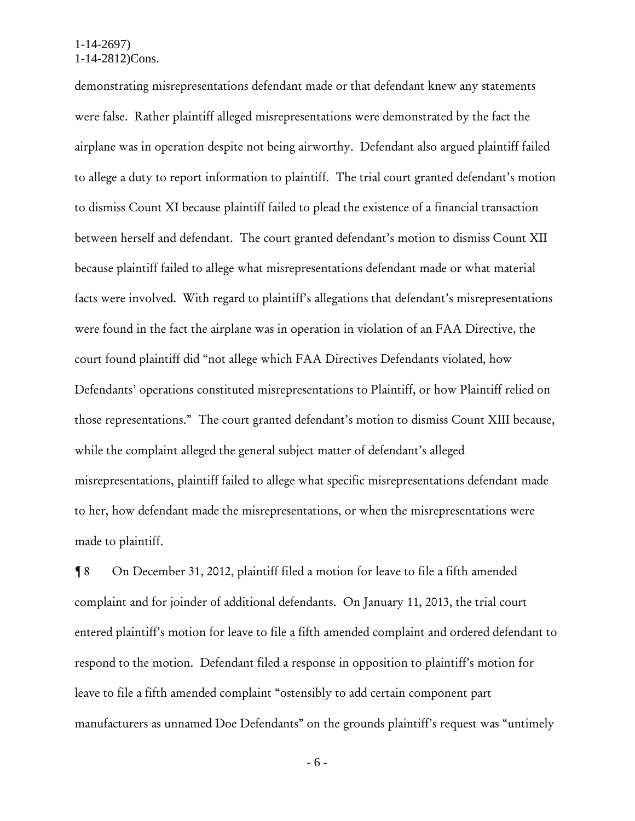demonstrating misrepresentations defendant made or that defendant knew any statements were false. Rather plaintiff alleged misrepresentations were demonstrated by the fact the airplane was in operation despite not being airworthy. Defendant also argued plaintiff failed to allege a duty to report information to plaintiff. The trial court granted defendant's motion to dismiss Count XI because plaintiff failed to plead the existence of a financial transaction between herself and defendant. The court granted defendant's motion to dismiss Count XII because plaintiff failed to allege what misrepresentations defendant made or what material facts were involved. With regard to plaintiff's allegations that defendant's misrepresentations were found in the fact the airplane was in operation in violation of an FAA Directive, the court found plaintiff did "not allege which FAA Directives Defendants violated, how Defendants' operations constituted misrepresentations to Plaintiff, or how Plaintiff relied on those representations." The court granted defendant's motion to dismiss Count XIII because, while the complaint alleged the general subject matter of defendant's alleged misrepresentations, plaintiff failed to allege what specific misrepresentations defendant made to her, how defendant made the misrepresentations, or when the misrepresentations were made to plaintiff.

¶ 8 On December 31, 2012, plaintiff filed a motion for leave to file a fifth amended complaint and for joinder of additional defendants. On January 11, 2013, the trial court entered plaintiff's motion for leave to file a fifth amended complaint and ordered defendant to respond to the motion. Defendant filed a response in opposition to plaintiff's motion for leave to file a fifth amended complaint "ostensibly to add certain component part manufacturers as unnamed Doe Defendants" on the grounds plaintiff's request was "untimely

- 6 -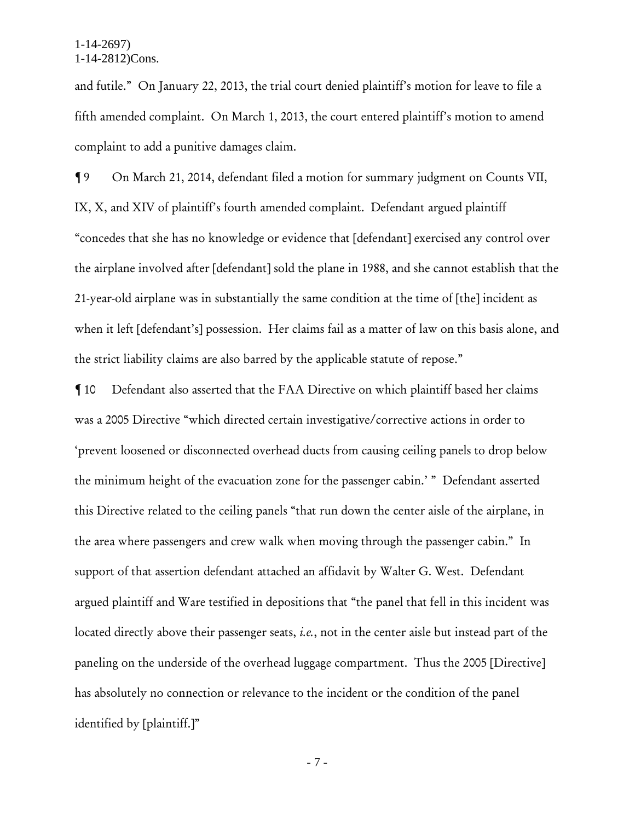and futile." On January 22, 2013, the trial court denied plaintiff's motion for leave to file a fifth amended complaint. On March 1, 2013, the court entered plaintiff's motion to amend complaint to add a punitive damages claim.

¶ 9 On March 21, 2014, defendant filed a motion for summary judgment on Counts VII, IX, X, and XIV of plaintiff's fourth amended complaint. Defendant argued plaintiff "concedes that she has no knowledge or evidence that [defendant] exercised any control over the airplane involved after [defendant] sold the plane in 1988, and she cannot establish that the 21-year-old airplane was in substantially the same condition at the time of [the] incident as when it left [defendant's] possession. Her claims fail as a matter of law on this basis alone, and the strict liability claims are also barred by the applicable statute of repose."

¶ 10 Defendant also asserted that the FAA Directive on which plaintiff based her claims was a 2005 Directive "which directed certain investigative/corrective actions in order to 'prevent loosened or disconnected overhead ducts from causing ceiling panels to drop below the minimum height of the evacuation zone for the passenger cabin.' " Defendant asserted this Directive related to the ceiling panels "that run down the center aisle of the airplane, in the area where passengers and crew walk when moving through the passenger cabin." In support of that assertion defendant attached an affidavit by Walter G. West. Defendant argued plaintiff and Ware testified in depositions that "the panel that fell in this incident was located directly above their passenger seats, *i.e.*, not in the center aisle but instead part of the paneling on the underside of the overhead luggage compartment. Thus the 2005 [Directive] has absolutely no connection or relevance to the incident or the condition of the panel identified by [plaintiff.]"

- 7 -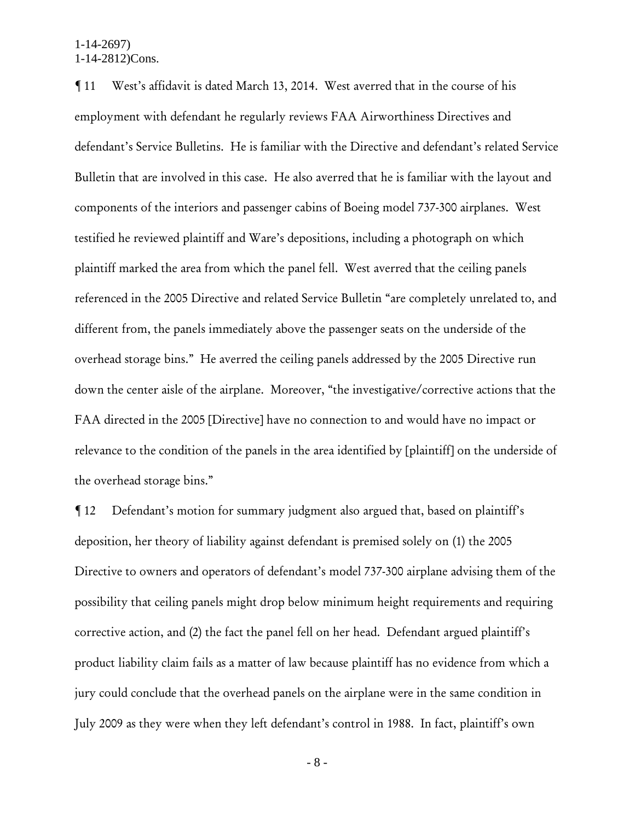¶ 11 West's affidavit is dated March 13, 2014. West averred that in the course of his employment with defendant he regularly reviews FAA Airworthiness Directives and defendant's Service Bulletins. He is familiar with the Directive and defendant's related Service Bulletin that are involved in this case. He also averred that he is familiar with the layout and components of the interiors and passenger cabins of Boeing model 737-300 airplanes. West testified he reviewed plaintiff and Ware's depositions, including a photograph on which plaintiff marked the area from which the panel fell. West averred that the ceiling panels referenced in the 2005 Directive and related Service Bulletin "are completely unrelated to, and different from, the panels immediately above the passenger seats on the underside of the overhead storage bins." He averred the ceiling panels addressed by the 2005 Directive run down the center aisle of the airplane. Moreover, "the investigative/corrective actions that the FAA directed in the 2005 [Directive] have no connection to and would have no impact or relevance to the condition of the panels in the area identified by [plaintiff] on the underside of the overhead storage bins."

¶ 12 Defendant's motion for summary judgment also argued that, based on plaintiff's deposition, her theory of liability against defendant is premised solely on (1) the 2005 Directive to owners and operators of defendant's model 737-300 airplane advising them of the possibility that ceiling panels might drop below minimum height requirements and requiring corrective action, and (2) the fact the panel fell on her head. Defendant argued plaintiff's product liability claim fails as a matter of law because plaintiff has no evidence from which a jury could conclude that the overhead panels on the airplane were in the same condition in July 2009 as they were when they left defendant's control in 1988. In fact, plaintiff's own

- 8 -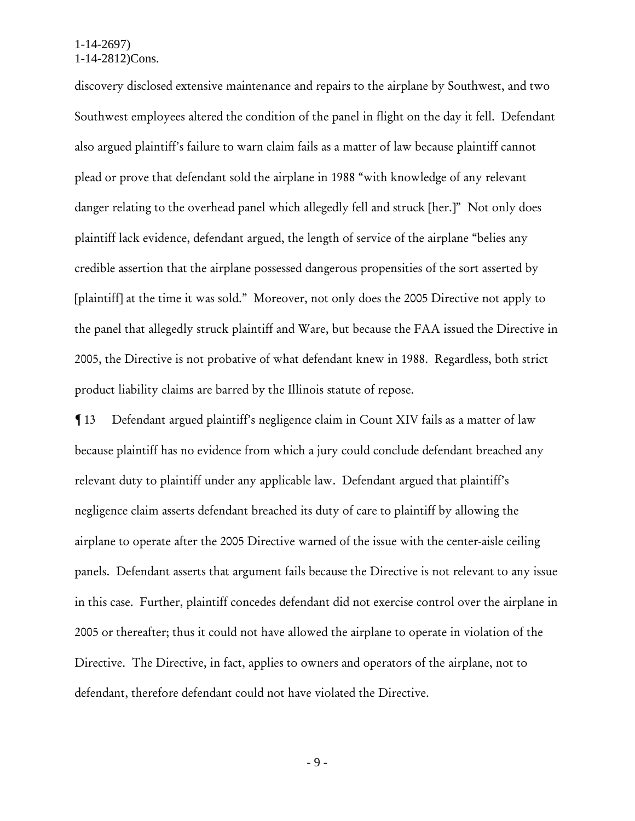discovery disclosed extensive maintenance and repairs to the airplane by Southwest, and two Southwest employees altered the condition of the panel in flight on the day it fell. Defendant also argued plaintiff's failure to warn claim fails as a matter of law because plaintiff cannot plead or prove that defendant sold the airplane in 1988 "with knowledge of any relevant danger relating to the overhead panel which allegedly fell and struck [her.]" Not only does plaintiff lack evidence, defendant argued, the length of service of the airplane "belies any credible assertion that the airplane possessed dangerous propensities of the sort asserted by [plaintiff] at the time it was sold." Moreover, not only does the 2005 Directive not apply to the panel that allegedly struck plaintiff and Ware, but because the FAA issued the Directive in 2005, the Directive is not probative of what defendant knew in 1988. Regardless, both strict product liability claims are barred by the Illinois statute of repose.

¶ 13 Defendant argued plaintiff's negligence claim in Count XIV fails as a matter of law because plaintiff has no evidence from which a jury could conclude defendant breached any relevant duty to plaintiff under any applicable law. Defendant argued that plaintiff's negligence claim asserts defendant breached its duty of care to plaintiff by allowing the airplane to operate after the 2005 Directive warned of the issue with the center-aisle ceiling panels. Defendant asserts that argument fails because the Directive is not relevant to any issue in this case. Further, plaintiff concedes defendant did not exercise control over the airplane in 2005 or thereafter; thus it could not have allowed the airplane to operate in violation of the Directive. The Directive, in fact, applies to owners and operators of the airplane, not to defendant, therefore defendant could not have violated the Directive.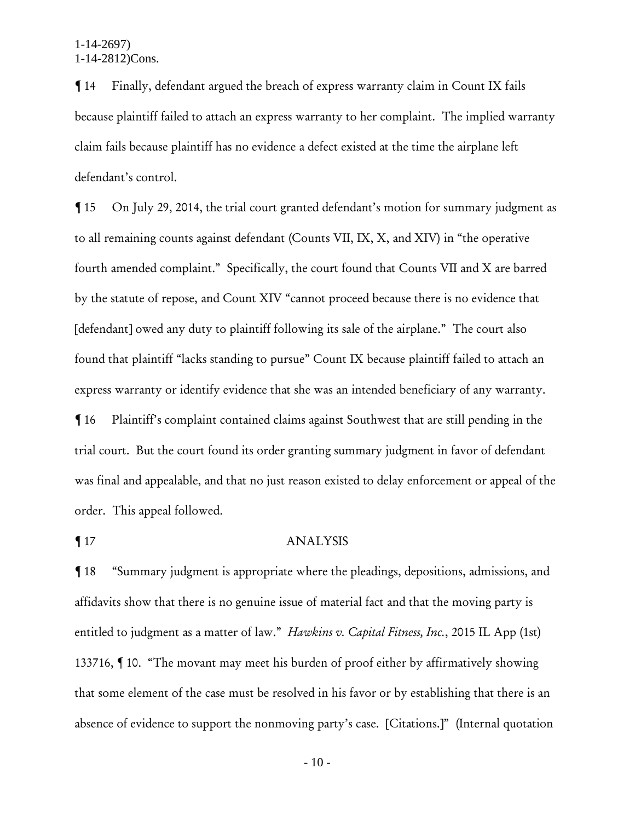¶ 14 Finally, defendant argued the breach of express warranty claim in Count IX fails because plaintiff failed to attach an express warranty to her complaint. The implied warranty claim fails because plaintiff has no evidence a defect existed at the time the airplane left defendant's control.

¶ 15 On July 29, 2014, the trial court granted defendant's motion for summary judgment as to all remaining counts against defendant (Counts VII, IX, X, and XIV) in "the operative fourth amended complaint." Specifically, the court found that Counts VII and X are barred by the statute of repose, and Count XIV "cannot proceed because there is no evidence that [defendant] owed any duty to plaintiff following its sale of the airplane." The court also found that plaintiff "lacks standing to pursue" Count IX because plaintiff failed to attach an express warranty or identify evidence that she was an intended beneficiary of any warranty. ¶ 16 Plaintiff's complaint contained claims against Southwest that are still pending in the trial court. But the court found its order granting summary judgment in favor of defendant was final and appealable, and that no just reason existed to delay enforcement or appeal of the order. This appeal followed.

### ¶ 17 ANALYSIS

¶ 18 "Summary judgment is appropriate where the pleadings, depositions, admissions, and affidavits show that there is no genuine issue of material fact and that the moving party is entitled to judgment as a matter of law." *Hawkins v. Capital Fitness, Inc.*, 2015 IL App (1st) 133716, ¶ 10. "The movant may meet his burden of proof either by affirmatively showing that some element of the case must be resolved in his favor or by establishing that there is an absence of evidence to support the nonmoving party's case. [Citations.]" (Internal quotation

- 10 -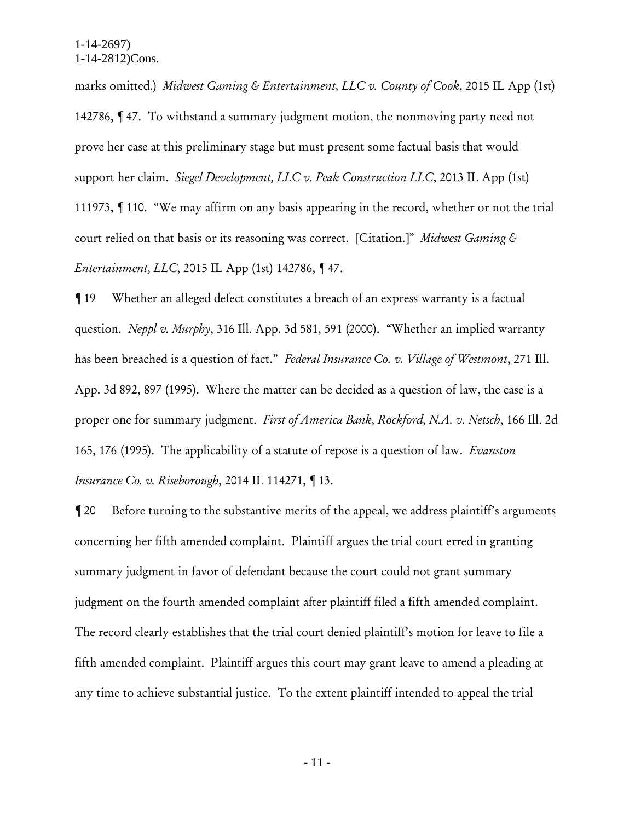marks omitted.) *Midwest Gaming & Entertainment, LLC v. County of Cook*, 2015 IL App (1st) 142786, ¶ 47. To withstand a summary judgment motion, the nonmoving party need not prove her case at this preliminary stage but must present some factual basis that would support her claim. *Siegel Development, LLC v. Peak Construction LLC*, 2013 IL App (1st) 111973, ¶ 110. "We may affirm on any basis appearing in the record, whether or not the trial court relied on that basis or its reasoning was correct. [Citation.]" *Midwest Gaming & Entertainment, LLC*, 2015 IL App (1st) 142786, ¶ 47.

¶ 19 Whether an alleged defect constitutes a breach of an express warranty is a factual question. *Neppl v. Murphy*, 316 Ill. App. 3d 581, 591 (2000). "Whether an implied warranty has been breached is a question of fact." *Federal Insurance Co. v. Village of Westmont*, 271 Ill. App. 3d 892, 897 (1995). Where the matter can be decided as a question of law, the case is a proper one for summary judgment. *First of America Bank, Rockford, N.A. v. Netsch*, 166 Ill. 2d 165, 176 (1995). The applicability of a statute of repose is a question of law. *Evanston Insurance Co. v. Riseborough*, 2014 IL 114271, ¶ 13.

¶ 20 Before turning to the substantive merits of the appeal, we address plaintiff's arguments concerning her fifth amended complaint. Plaintiff argues the trial court erred in granting summary judgment in favor of defendant because the court could not grant summary judgment on the fourth amended complaint after plaintiff filed a fifth amended complaint. The record clearly establishes that the trial court denied plaintiff's motion for leave to file a fifth amended complaint. Plaintiff argues this court may grant leave to amend a pleading at any time to achieve substantial justice. To the extent plaintiff intended to appeal the trial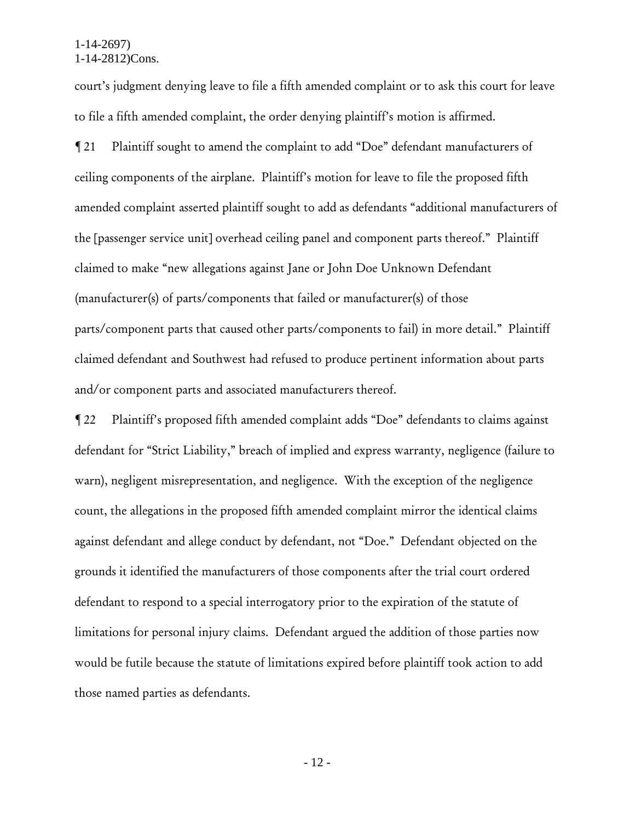court's judgment denying leave to file a fifth amended complaint or to ask this court for leave to file a fifth amended complaint, the order denying plaintiff's motion is affirmed.

¶ 21 Plaintiff sought to amend the complaint to add "Doe" defendant manufacturers of ceiling components of the airplane. Plaintiff's motion for leave to file the proposed fifth amended complaint asserted plaintiff sought to add as defendants "additional manufacturers of the [passenger service unit] overhead ceiling panel and component parts thereof." Plaintiff claimed to make "new allegations against Jane or John Doe Unknown Defendant (manufacturer(s) of parts/components that failed or manufacturer(s) of those parts/component parts that caused other parts/components to fail) in more detail." Plaintiff claimed defendant and Southwest had refused to produce pertinent information about parts and/or component parts and associated manufacturers thereof.

¶ 22 Plaintiff's proposed fifth amended complaint adds "Doe" defendants to claims against defendant for "Strict Liability," breach of implied and express warranty, negligence (failure to warn), negligent misrepresentation, and negligence. With the exception of the negligence count, the allegations in the proposed fifth amended complaint mirror the identical claims against defendant and allege conduct by defendant, not "Doe." Defendant objected on the grounds it identified the manufacturers of those components after the trial court ordered defendant to respond to a special interrogatory prior to the expiration of the statute of limitations for personal injury claims. Defendant argued the addition of those parties now would be futile because the statute of limitations expired before plaintiff took action to add those named parties as defendants.

- 12 -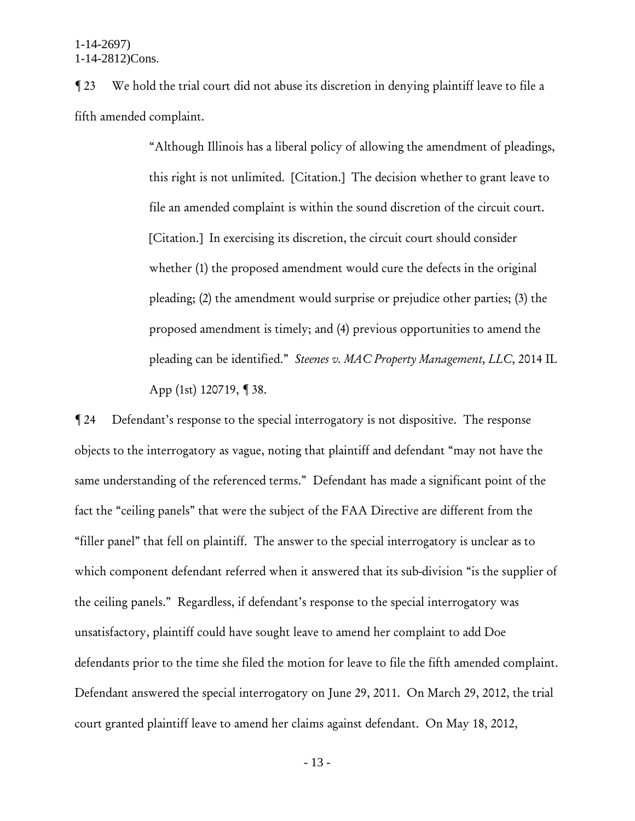¶ 23 We hold the trial court did not abuse its discretion in denying plaintiff leave to file a fifth amended complaint.

> "Although Illinois has a liberal policy of allowing the amendment of pleadings, this right is not unlimited. [Citation.] The decision whether to grant leave to file an amended complaint is within the sound discretion of the circuit court. [Citation.] In exercising its discretion, the circuit court should consider whether (1) the proposed amendment would cure the defects in the original pleading; (2) the amendment would surprise or prejudice other parties; (3) the proposed amendment is timely; and (4) previous opportunities to amend the pleading can be identified." *Steenes v. MAC Property Management, LLC*, 2014 IL App (1st) 120719, ¶ 38.

¶ 24 Defendant's response to the special interrogatory is not dispositive. The response objects to the interrogatory as vague, noting that plaintiff and defendant "may not have the same understanding of the referenced terms." Defendant has made a significant point of the fact the "ceiling panels" that were the subject of the FAA Directive are different from the "filler panel" that fell on plaintiff. The answer to the special interrogatory is unclear as to which component defendant referred when it answered that its sub-division "is the supplier of the ceiling panels." Regardless, if defendant's response to the special interrogatory was unsatisfactory, plaintiff could have sought leave to amend her complaint to add Doe defendants prior to the time she filed the motion for leave to file the fifth amended complaint. Defendant answered the special interrogatory on June 29, 2011. On March 29, 2012, the trial court granted plaintiff leave to amend her claims against defendant. On May 18, 2012,

- 13 -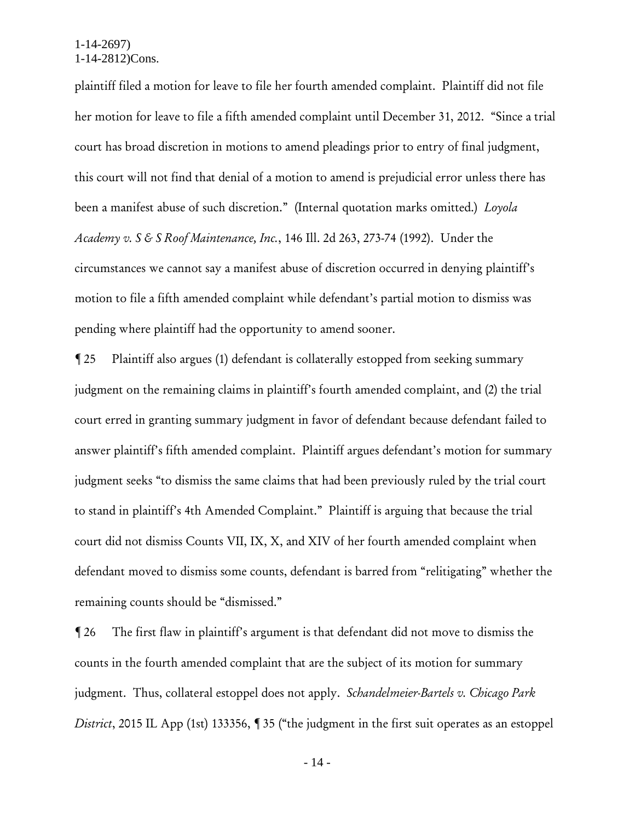plaintiff filed a motion for leave to file her fourth amended complaint. Plaintiff did not file her motion for leave to file a fifth amended complaint until December 31, 2012. "Since a trial court has broad discretion in motions to amend pleadings prior to entry of final judgment, this court will not find that denial of a motion to amend is prejudicial error unless there has been a manifest abuse of such discretion." (Internal quotation marks omitted.) *Loyola Academy v. S & S Roof Maintenance, Inc.*, 146 Ill. 2d 263, 273-74 (1992). Under the circumstances we cannot say a manifest abuse of discretion occurred in denying plaintiff's motion to file a fifth amended complaint while defendant's partial motion to dismiss was pending where plaintiff had the opportunity to amend sooner.

¶ 25 Plaintiff also argues (1) defendant is collaterally estopped from seeking summary judgment on the remaining claims in plaintiff's fourth amended complaint, and (2) the trial court erred in granting summary judgment in favor of defendant because defendant failed to answer plaintiff's fifth amended complaint. Plaintiff argues defendant's motion for summary judgment seeks "to dismiss the same claims that had been previously ruled by the trial court to stand in plaintiff's 4th Amended Complaint." Plaintiff is arguing that because the trial court did not dismiss Counts VII, IX, X, and XIV of her fourth amended complaint when defendant moved to dismiss some counts, defendant is barred from "relitigating" whether the remaining counts should be "dismissed."

¶ 26 The first flaw in plaintiff's argument is that defendant did not move to dismiss the counts in the fourth amended complaint that are the subject of its motion for summary judgment. Thus, collateral estoppel does not apply. *Schandelmeier-Bartels v. Chicago Park District*, 2015 IL App (1st) 133356, 135 ("the judgment in the first suit operates as an estoppel

- 14 -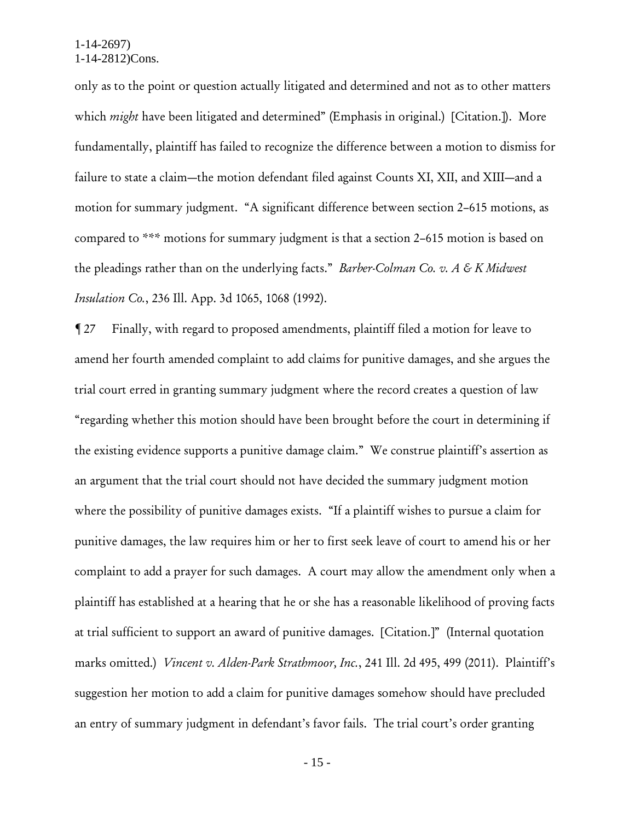only as to the point or question actually litigated and determined and not as to other matters which *might* have been litigated and determined" (Emphasis in original.) [Citation.]). More fundamentally, plaintiff has failed to recognize the difference between a motion to dismiss for failure to state a claim—the motion defendant filed against Counts XI, XII, and XIII—and a motion for summary judgment. "A significant difference between section 2–615 motions, as compared to \*\*\* motions for summary judgment is that a section 2–615 motion is based on the pleadings rather than on the underlying facts." *Barber-Colman Co. v. A & K Midwest Insulation Co.*, 236 Ill. App. 3d 1065, 1068 (1992).

¶ 27 Finally, with regard to proposed amendments, plaintiff filed a motion for leave to amend her fourth amended complaint to add claims for punitive damages, and she argues the trial court erred in granting summary judgment where the record creates a question of law "regarding whether this motion should have been brought before the court in determining if the existing evidence supports a punitive damage claim." We construe plaintiff's assertion as an argument that the trial court should not have decided the summary judgment motion where the possibility of punitive damages exists. "If a plaintiff wishes to pursue a claim for punitive damages, the law requires him or her to first seek leave of court to amend his or her complaint to add a prayer for such damages. A court may allow the amendment only when a plaintiff has established at a hearing that he or she has a reasonable likelihood of proving facts at trial sufficient to support an award of punitive damages. [Citation.]" (Internal quotation marks omitted.) *Vincent v. Alden-Park Strathmoor, Inc.*, 241 Ill. 2d 495, 499 (2011). Plaintiff's suggestion her motion to add a claim for punitive damages somehow should have precluded an entry of summary judgment in defendant's favor fails. The trial court's order granting

- 15 -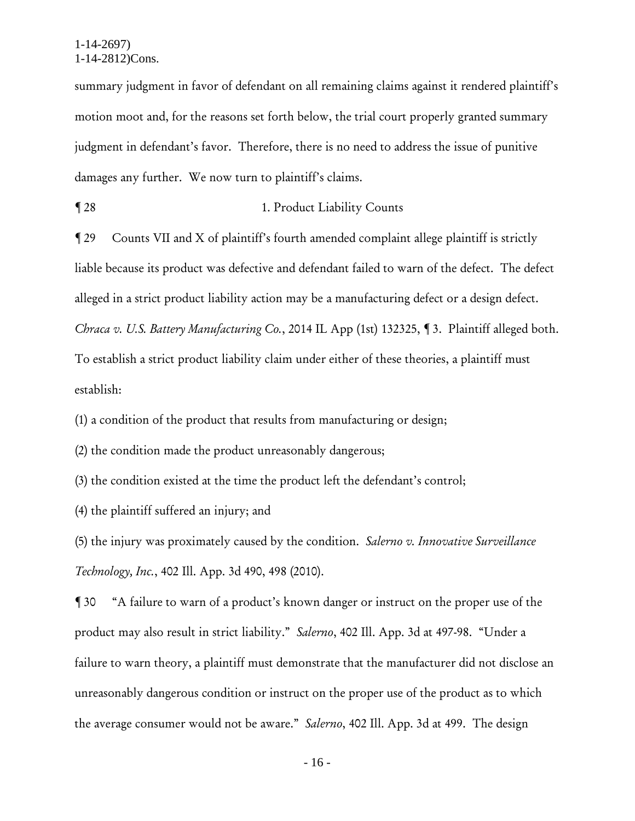summary judgment in favor of defendant on all remaining claims against it rendered plaintiff's motion moot and, for the reasons set forth below, the trial court properly granted summary judgment in defendant's favor. Therefore, there is no need to address the issue of punitive damages any further. We now turn to plaintiff's claims.

¶ 28 1. Product Liability Counts

¶ 29 Counts VII and X of plaintiff's fourth amended complaint allege plaintiff is strictly liable because its product was defective and defendant failed to warn of the defect. The defect alleged in a strict product liability action may be a manufacturing defect or a design defect. *Chraca v. U.S. Battery Manufacturing Co.*, 2014 IL App (1st) 132325, ¶ 3. Plaintiff alleged both. To establish a strict product liability claim under either of these theories, a plaintiff must establish:

(1) a condition of the product that results from manufacturing or design;

(2) the condition made the product unreasonably dangerous;

(3) the condition existed at the time the product left the defendant's control;

(4) the plaintiff suffered an injury; and

(5) the injury was proximately caused by the condition. *Salerno v. Innovative Surveillance Technology, Inc.*, 402 Ill. App. 3d 490, 498 (2010).

¶ 30 "A failure to warn of a product's known danger or instruct on the proper use of the product may also result in strict liability." *Salerno*, 402 Ill. App. 3d at 497-98. "Under a failure to warn theory, a plaintiff must demonstrate that the manufacturer did not disclose an unreasonably dangerous condition or instruct on the proper use of the product as to which the average consumer would not be aware." *Salerno*, 402 Ill. App. 3d at 499. The design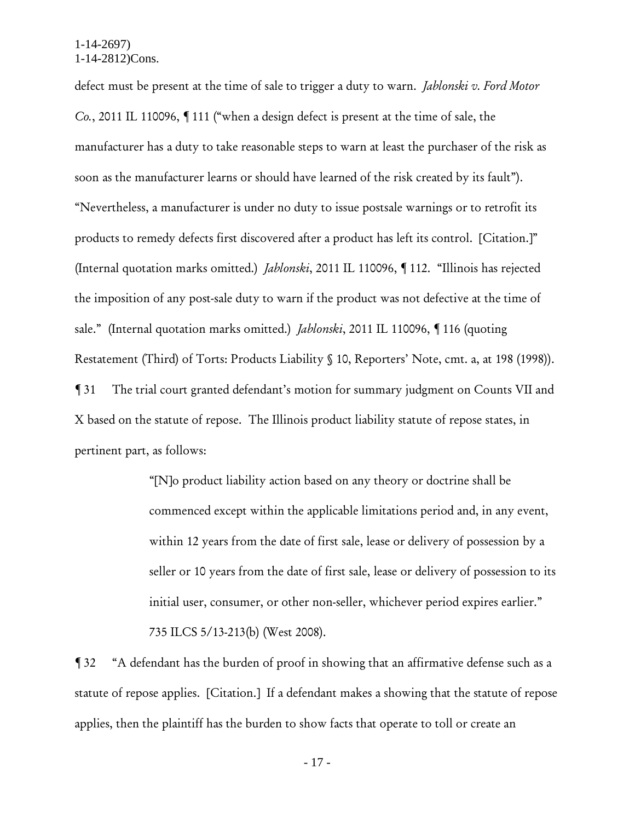defect must be present at the time of sale to trigger a duty to warn. *Jablonski v. Ford Motor Co.*, 2011 IL 110096, ¶ 111 ("when a design defect is present at the time of sale, the manufacturer has a duty to take reasonable steps to warn at least the purchaser of the risk as soon as the manufacturer learns or should have learned of the risk created by its fault"). "Nevertheless, a manufacturer is under no duty to issue postsale warnings or to retrofit its products to remedy defects first discovered after a product has left its control. [Citation.]" (Internal quotation marks omitted.) *Jablonski*, 2011 IL 110096, ¶ 112. "Illinois has rejected the imposition of any post-sale duty to warn if the product was not defective at the time of sale." (Internal quotation marks omitted.) *Jablonski*, 2011 IL 110096, ¶ 116 (quoting Restatement (Third) of Torts: Products Liability § 10, Reporters' Note, cmt. a, at 198 (1998)). ¶ 31 The trial court granted defendant's motion for summary judgment on Counts VII and X based on the statute of repose. The Illinois product liability statute of repose states, in pertinent part, as follows:

> "[N]o product liability action based on any theory or doctrine shall be commenced except within the applicable limitations period and, in any event, within 12 years from the date of first sale, lease or delivery of possession by a seller or 10 years from the date of first sale, lease or delivery of possession to its initial user, consumer, or other non-seller, whichever period expires earlier." 735 ILCS 5/13-213(b) (West 2008).

¶ 32 "A defendant has the burden of proof in showing that an affirmative defense such as a statute of repose applies. [Citation.] If a defendant makes a showing that the statute of repose applies, then the plaintiff has the burden to show facts that operate to toll or create an

- 17 -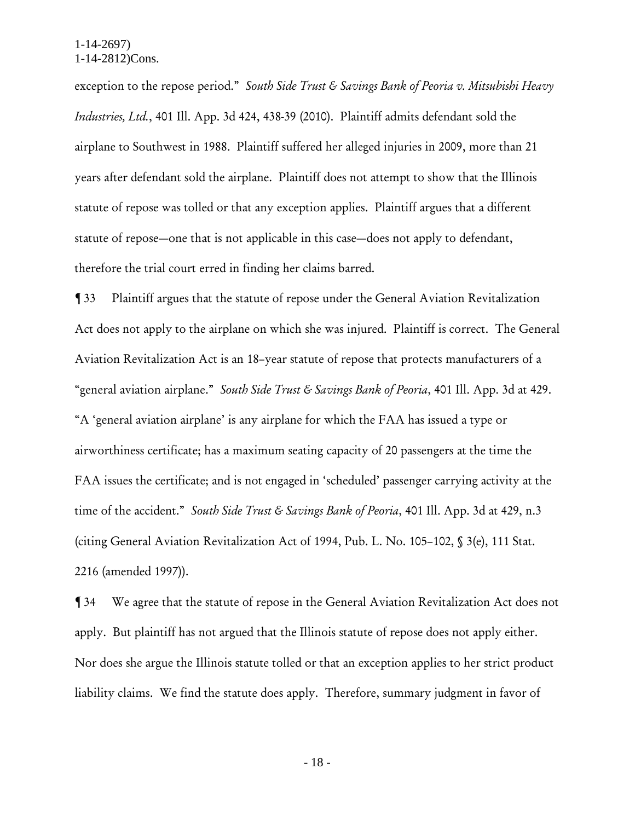exception to the repose period." *South Side Trust & Savings Bank of Peoria v. Mitsubishi Heavy Industries, Ltd.*, 401 Ill. App. 3d 424, 438-39 (2010). Plaintiff admits defendant sold the airplane to Southwest in 1988. Plaintiff suffered her alleged injuries in 2009, more than 21 years after defendant sold the airplane. Plaintiff does not attempt to show that the Illinois statute of repose was tolled or that any exception applies. Plaintiff argues that a different statute of repose—one that is not applicable in this case—does not apply to defendant, therefore the trial court erred in finding her claims barred.

¶ 33 Plaintiff argues that the statute of repose under the General Aviation Revitalization Act does not apply to the airplane on which she was injured. Plaintiff is correct. The General Aviation Revitalization Act is an 18–year statute of repose that protects manufacturers of a "general aviation airplane." *South Side Trust & Savings Bank of Peoria*, 401 Ill. App. 3d at 429. "A 'general aviation airplane' is any airplane for which the FAA has issued a type or airworthiness certificate; has a maximum seating capacity of 20 passengers at the time the FAA issues the certificate; and is not engaged in 'scheduled' passenger carrying activity at the time of the accident." *South Side Trust & Savings Bank of Peoria*, 401 Ill. App. 3d at 429, n.3 (citing General Aviation Revitalization Act of 1994, Pub. L. No. 105–102, § 3(e), 111 Stat. 2216 (amended 1997)).

¶ 34 We agree that the statute of repose in the General Aviation Revitalization Act does not apply. But plaintiff has not argued that the Illinois statute of repose does not apply either. Nor does she argue the Illinois statute tolled or that an exception applies to her strict product liability claims. We find the statute does apply. Therefore, summary judgment in favor of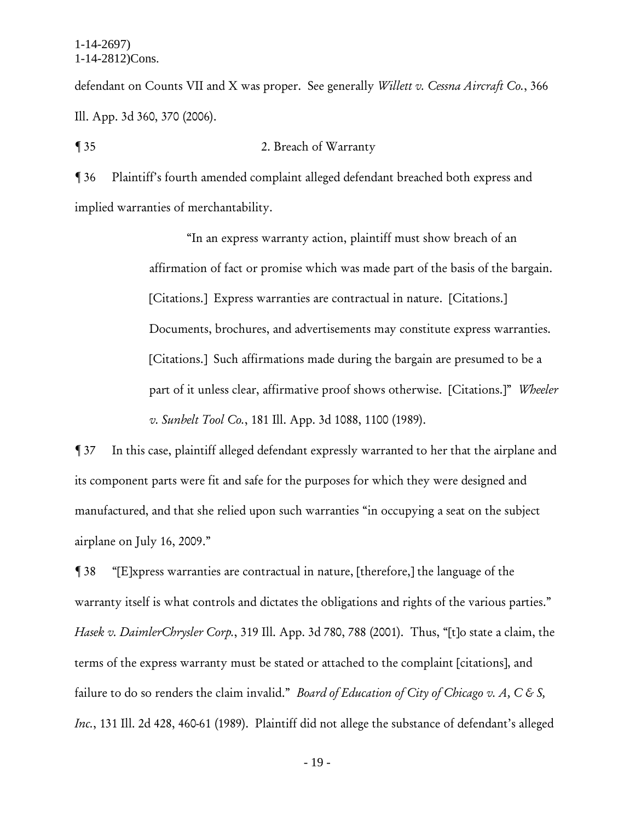defendant on Counts VII and X was proper. See generally *Willett v. Cessna Aircraft Co.*, 366 Ill. App. 3d 360, 370 (2006).

¶ 35 2. Breach of Warranty

¶ 36 Plaintiff's fourth amended complaint alleged defendant breached both express and implied warranties of merchantability.

> "In an express warranty action, plaintiff must show breach of an affirmation of fact or promise which was made part of the basis of the bargain. [Citations.] Express warranties are contractual in nature. [Citations.] Documents, brochures, and advertisements may constitute express warranties. [Citations.] Such affirmations made during the bargain are presumed to be a part of it unless clear, affirmative proof shows otherwise. [Citations.]" *Wheeler v. Sunbelt Tool Co.*, 181 Ill. App. 3d 1088, 1100 (1989).

¶ 37 In this case, plaintiff alleged defendant expressly warranted to her that the airplane and its component parts were fit and safe for the purposes for which they were designed and manufactured, and that she relied upon such warranties "in occupying a seat on the subject airplane on July 16, 2009."

¶ 38 "[E]xpress warranties are contractual in nature, [therefore,] the language of the warranty itself is what controls and dictates the obligations and rights of the various parties." *Hasek v. DaimlerChrysler Corp.*, 319 Ill. App. 3d 780, 788 (2001). Thus, "[t]o state a claim, the terms of the express warranty must be stated or attached to the complaint [citations], and failure to do so renders the claim invalid." *Board of Education of City of Chicago v. A, C & S, Inc.*, 131 Ill. 2d 428, 460-61 (1989). Plaintiff did not allege the substance of defendant's alleged

- 19 -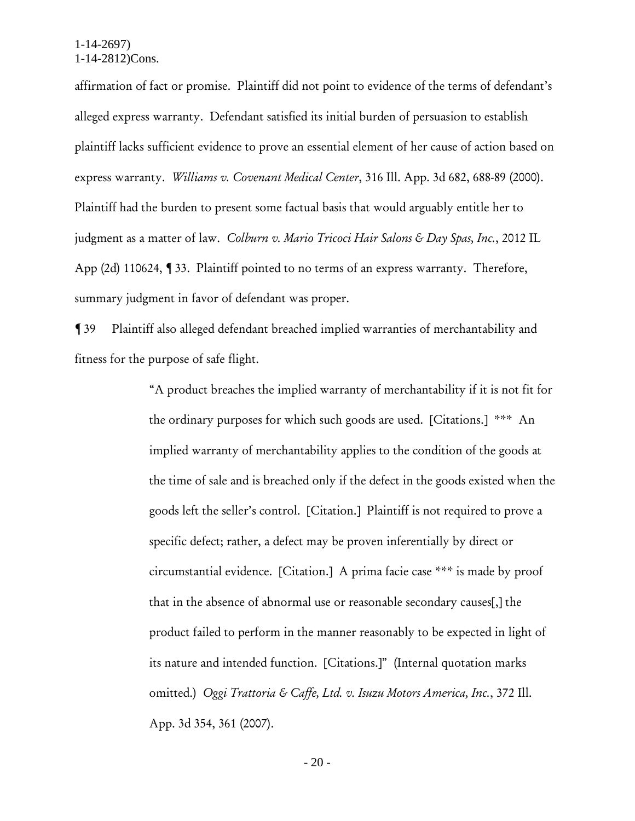affirmation of fact or promise. Plaintiff did not point to evidence of the terms of defendant's alleged express warranty. Defendant satisfied its initial burden of persuasion to establish plaintiff lacks sufficient evidence to prove an essential element of her cause of action based on express warranty. *Williams v. Covenant Medical Center*, 316 Ill. App. 3d 682, 688-89 (2000). Plaintiff had the burden to present some factual basis that would arguably entitle her to judgment as a matter of law. *Colburn v. Mario Tricoci Hair Salons & Day Spas, Inc.*, 2012 IL App (2d) 110624, ¶ 33. Plaintiff pointed to no terms of an express warranty. Therefore, summary judgment in favor of defendant was proper.

¶ 39 Plaintiff also alleged defendant breached implied warranties of merchantability and fitness for the purpose of safe flight.

> "A product breaches the implied warranty of merchantability if it is not fit for the ordinary purposes for which such goods are used. [Citations.] \*\*\* An implied warranty of merchantability applies to the condition of the goods at the time of sale and is breached only if the defect in the goods existed when the goods left the seller's control. [Citation.] Plaintiff is not required to prove a specific defect; rather, a defect may be proven inferentially by direct or circumstantial evidence. [Citation.] A prima facie case \*\*\* is made by proof that in the absence of abnormal use or reasonable secondary causes[,] the product failed to perform in the manner reasonably to be expected in light of its nature and intended function. [Citations.]" (Internal quotation marks omitted.) *Oggi Trattoria & Caffe, Ltd. v. Isuzu Motors America, Inc.*, 372 Ill. App. 3d 354, 361 (2007).

> > - 20 -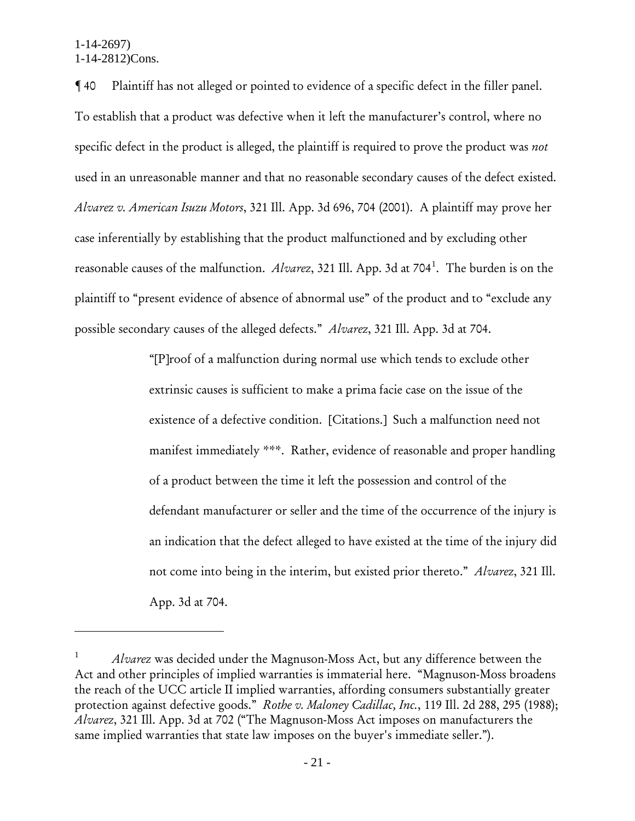$\overline{a}$ 

¶ 40 Plaintiff has not alleged or pointed to evidence of a specific defect in the filler panel. To establish that a product was defective when it left the manufacturer's control, where no specific defect in the product is alleged, the plaintiff is required to prove the product was *not* used in an unreasonable manner and that no reasonable secondary causes of the defect existed. *Alvarez v. American Isuzu Motors*, 321 Ill. App. 3d 696, 704 (2001). A plaintiff may prove her case inferentially by establishing that the product malfunctioned and by excluding other reasonable causes of the malfunction. *Alvarez*, 321 Ill. App. 3d at 704<sup>1</sup>. The burden is on the plaintiff to "present evidence of absence of abnormal use" of the product and to "exclude any possible secondary causes of the alleged defects." *Alvarez*, 321 Ill. App. 3d at 704.

> "[P]roof of a malfunction during normal use which tends to exclude other extrinsic causes is sufficient to make a prima facie case on the issue of the existence of a defective condition. [Citations.] Such a malfunction need not manifest immediately \*\*\*. Rather, evidence of reasonable and proper handling of a product between the time it left the possession and control of the defendant manufacturer or seller and the time of the occurrence of the injury is an indication that the defect alleged to have existed at the time of the injury did not come into being in the interim, but existed prior thereto." *Alvarez*, 321 Ill. App. 3d at 704.

<sup>1</sup> *Alvarez* was decided under the Magnuson-Moss Act, but any difference between the Act and other principles of implied warranties is immaterial here. "Magnuson-Moss broadens the reach of the UCC article II implied warranties, affording consumers substantially greater protection against defective goods." *Rothe v. Maloney Cadillac, Inc.*, 119 Ill. 2d 288, 295 (1988); *Alvarez*, 321 Ill. App. 3d at 702 ("The Magnuson-Moss Act imposes on manufacturers the same implied warranties that state law imposes on the buyer's immediate seller.").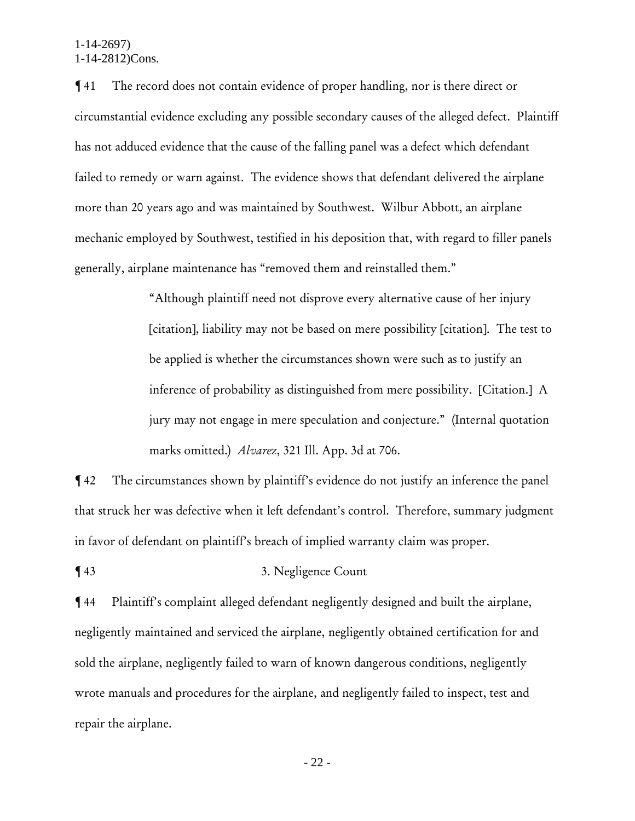¶ 41 The record does not contain evidence of proper handling, nor is there direct or circumstantial evidence excluding any possible secondary causes of the alleged defect. Plaintiff has not adduced evidence that the cause of the falling panel was a defect which defendant failed to remedy or warn against. The evidence shows that defendant delivered the airplane more than 20 years ago and was maintained by Southwest. Wilbur Abbott, an airplane mechanic employed by Southwest, testified in his deposition that, with regard to filler panels generally, airplane maintenance has "removed them and reinstalled them."

> "Although plaintiff need not disprove every alternative cause of her injury [citation], liability may not be based on mere possibility [citation]. The test to be applied is whether the circumstances shown were such as to justify an inference of probability as distinguished from mere possibility. [Citation.] A jury may not engage in mere speculation and conjecture." (Internal quotation marks omitted.) *Alvarez*, 321 Ill. App. 3d at 706.

¶ 42 The circumstances shown by plaintiff's evidence do not justify an inference the panel that struck her was defective when it left defendant's control. Therefore, summary judgment in favor of defendant on plaintiff's breach of implied warranty claim was proper.

## ¶ 43 3. Negligence Count

¶ 44 Plaintiff's complaint alleged defendant negligently designed and built the airplane, negligently maintained and serviced the airplane, negligently obtained certification for and sold the airplane, negligently failed to warn of known dangerous conditions, negligently wrote manuals and procedures for the airplane, and negligently failed to inspect, test and repair the airplane.

- 22 -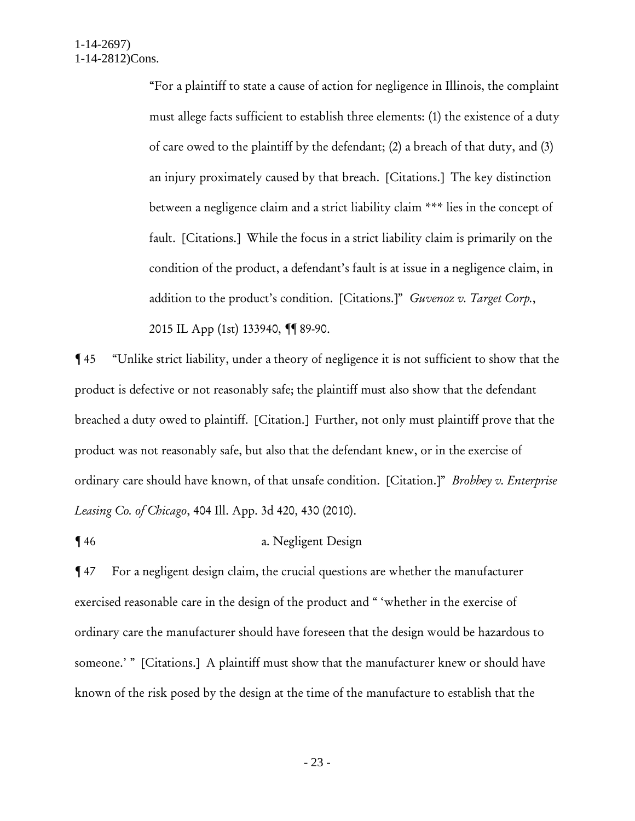"For a plaintiff to state a cause of action for negligence in Illinois, the complaint must allege facts sufficient to establish three elements: (1) the existence of a duty of care owed to the plaintiff by the defendant; (2) a breach of that duty, and (3) an injury proximately caused by that breach. [Citations.] The key distinction between a negligence claim and a strict liability claim \*\*\* lies in the concept of fault. [Citations.] While the focus in a strict liability claim is primarily on the condition of the product, a defendant's fault is at issue in a negligence claim, in addition to the product's condition. [Citations.]" *Guvenoz v. Target Corp.*, 2015 IL App (1st) 133940, ¶¶ 89-90.

¶ 45 "Unlike strict liability, under a theory of negligence it is not sufficient to show that the product is defective or not reasonably safe; the plaintiff must also show that the defendant breached a duty owed to plaintiff. [Citation.] Further, not only must plaintiff prove that the product was not reasonably safe, but also that the defendant knew, or in the exercise of ordinary care should have known, of that unsafe condition. [Citation.]" *Brobbey v. Enterprise Leasing Co. of Chicago*, 404 Ill. App. 3d 420, 430 (2010).

¶ 46 a. Negligent Design

¶ 47 For a negligent design claim, the crucial questions are whether the manufacturer exercised reasonable care in the design of the product and " 'whether in the exercise of ordinary care the manufacturer should have foreseen that the design would be hazardous to someone.' " [Citations.] A plaintiff must show that the manufacturer knew or should have known of the risk posed by the design at the time of the manufacture to establish that the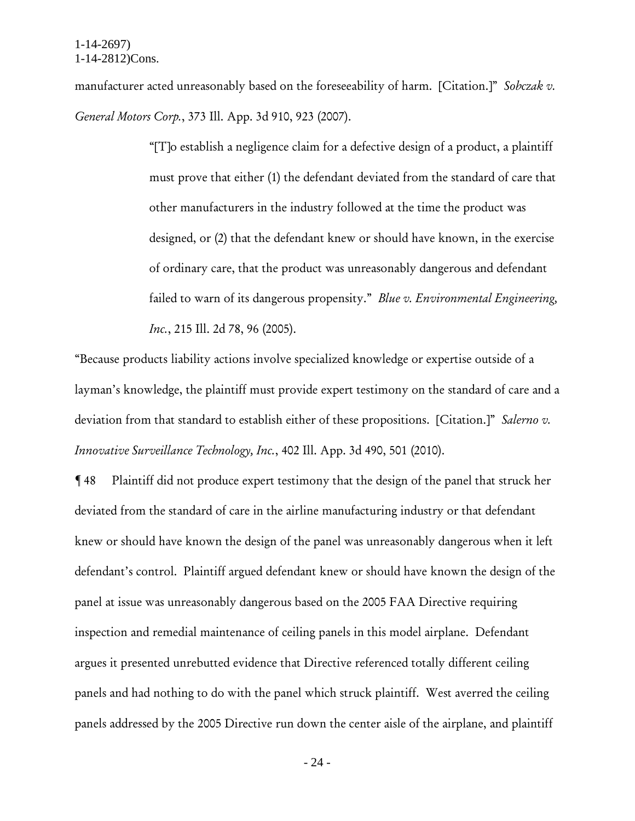manufacturer acted unreasonably based on the foreseeability of harm. [Citation.]" *Sobczak v. General Motors Corp.*, 373 Ill. App. 3d 910, 923 (2007).

> "[T]o establish a negligence claim for a defective design of a product, a plaintiff must prove that either (1) the defendant deviated from the standard of care that other manufacturers in the industry followed at the time the product was designed, or (2) that the defendant knew or should have known, in the exercise of ordinary care, that the product was unreasonably dangerous and defendant failed to warn of its dangerous propensity." *Blue v. Environmental Engineering, Inc.*, 215 Ill. 2d 78, 96 (2005).

"Because products liability actions involve specialized knowledge or expertise outside of a layman's knowledge, the plaintiff must provide expert testimony on the standard of care and a deviation from that standard to establish either of these propositions. [Citation.]" *Salerno v. Innovative Surveillance Technology, Inc.*, 402 Ill. App. 3d 490, 501 (2010).

¶ 48 Plaintiff did not produce expert testimony that the design of the panel that struck her deviated from the standard of care in the airline manufacturing industry or that defendant knew or should have known the design of the panel was unreasonably dangerous when it left defendant's control. Plaintiff argued defendant knew or should have known the design of the panel at issue was unreasonably dangerous based on the 2005 FAA Directive requiring inspection and remedial maintenance of ceiling panels in this model airplane. Defendant argues it presented unrebutted evidence that Directive referenced totally different ceiling panels and had nothing to do with the panel which struck plaintiff. West averred the ceiling panels addressed by the 2005 Directive run down the center aisle of the airplane, and plaintiff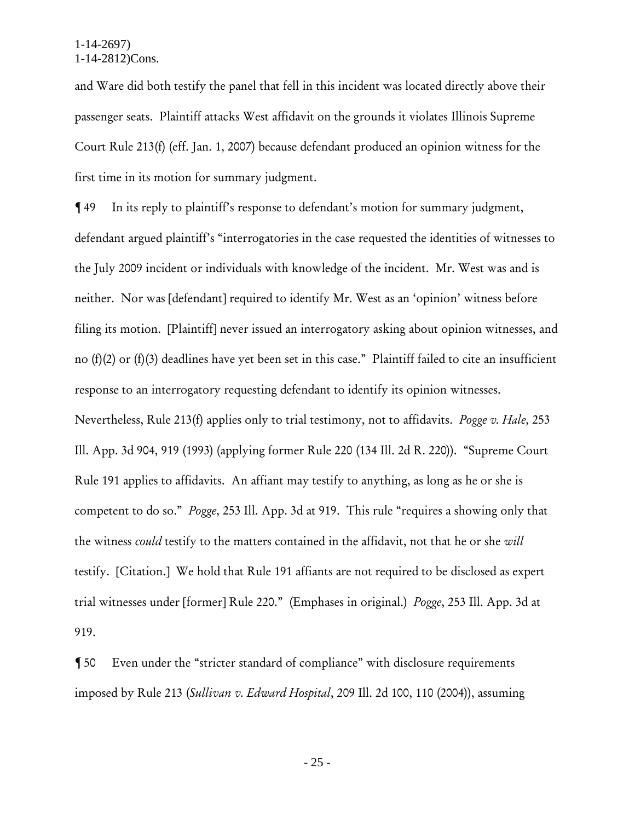and Ware did both testify the panel that fell in this incident was located directly above their passenger seats. Plaintiff attacks West affidavit on the grounds it violates Illinois Supreme Court Rule 213(f) (eff. Jan. 1, 2007) because defendant produced an opinion witness for the first time in its motion for summary judgment.

¶ 49 In its reply to plaintiff's response to defendant's motion for summary judgment, defendant argued plaintiff's "interrogatories in the case requested the identities of witnesses to the July 2009 incident or individuals with knowledge of the incident. Mr. West was and is neither. Nor was [defendant] required to identify Mr. West as an 'opinion' witness before filing its motion. [Plaintiff] never issued an interrogatory asking about opinion witnesses, and no (f)(2) or (f)(3) deadlines have yet been set in this case." Plaintiff failed to cite an insufficient response to an interrogatory requesting defendant to identify its opinion witnesses. Nevertheless, Rule 213(f) applies only to trial testimony, not to affidavits. *Pogge v. Hale*, 253 Ill. App. 3d 904, 919 (1993) (applying former Rule 220 (134 Ill. 2d R. 220)). "Supreme Court Rule 191 applies to affidavits. An affiant may testify to anything, as long as he or she is competent to do so." *Pogge*, 253 Ill. App. 3d at 919. This rule "requires a showing only that the witness *could* testify to the matters contained in the affidavit, not that he or she *will* testify. [Citation.] We hold that Rule 191 affiants are not required to be disclosed as expert trial witnesses under [former] Rule 220." (Emphases in original.) *Pogge*, 253 Ill. App. 3d at 919.

¶ 50 Even under the "stricter standard of compliance" with disclosure requirements imposed by Rule 213 (*Sullivan v. Edward Hospital*, 209 Ill. 2d 100, 110 (2004)), assuming

- 25 -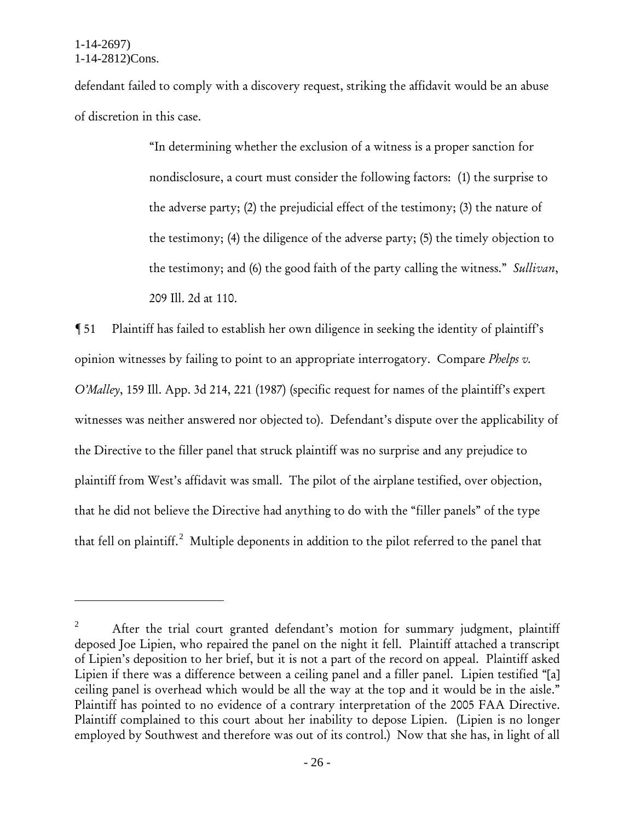$\overline{a}$ 

defendant failed to comply with a discovery request, striking the affidavit would be an abuse of discretion in this case.

> "In determining whether the exclusion of a witness is a proper sanction for nondisclosure, a court must consider the following factors: (1) the surprise to the adverse party; (2) the prejudicial effect of the testimony; (3) the nature of the testimony; (4) the diligence of the adverse party; (5) the timely objection to the testimony; and (6) the good faith of the party calling the witness." *Sullivan*, 209 Ill. 2d at 110.

¶ 51 Plaintiff has failed to establish her own diligence in seeking the identity of plaintiff's opinion witnesses by failing to point to an appropriate interrogatory. Compare *Phelps v. O'Malley*, 159 Ill. App. 3d 214, 221 (1987) (specific request for names of the plaintiff's expert witnesses was neither answered nor objected to). Defendant's dispute over the applicability of the Directive to the filler panel that struck plaintiff was no surprise and any prejudice to plaintiff from West's affidavit was small. The pilot of the airplane testified, over objection, that he did not believe the Directive had anything to do with the "filler panels" of the type that fell on plaintiff.<sup>2</sup> Multiple deponents in addition to the pilot referred to the panel that

<sup>&</sup>lt;sup>2</sup> After the trial court granted defendant's motion for summary judgment, plaintiff deposed Joe Lipien, who repaired the panel on the night it fell. Plaintiff attached a transcript of Lipien's deposition to her brief, but it is not a part of the record on appeal. Plaintiff asked Lipien if there was a difference between a ceiling panel and a filler panel. Lipien testified "[a] ceiling panel is overhead which would be all the way at the top and it would be in the aisle." Plaintiff has pointed to no evidence of a contrary interpretation of the 2005 FAA Directive. Plaintiff complained to this court about her inability to depose Lipien. (Lipien is no longer employed by Southwest and therefore was out of its control.) Now that she has, in light of all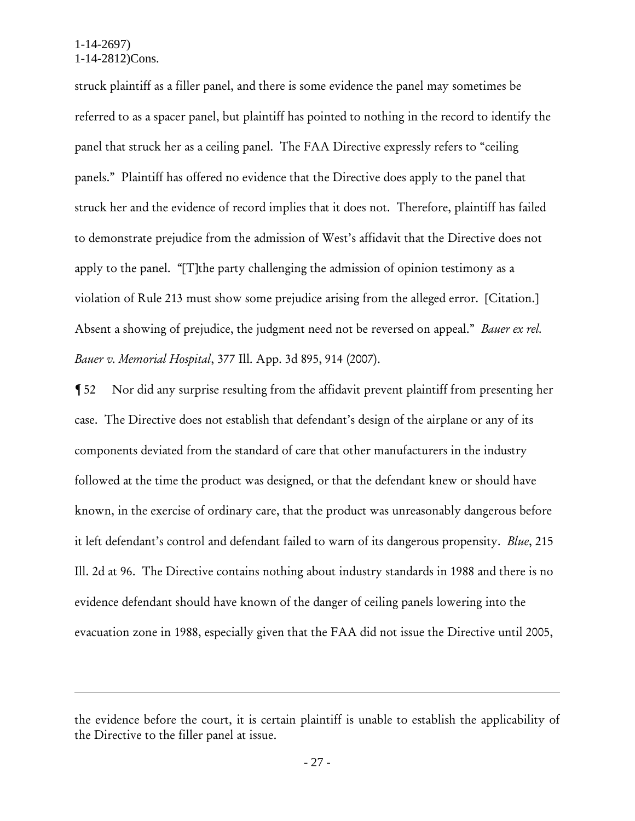$\overline{a}$ 

struck plaintiff as a filler panel, and there is some evidence the panel may sometimes be referred to as a spacer panel, but plaintiff has pointed to nothing in the record to identify the panel that struck her as a ceiling panel. The FAA Directive expressly refers to "ceiling panels." Plaintiff has offered no evidence that the Directive does apply to the panel that struck her and the evidence of record implies that it does not. Therefore, plaintiff has failed to demonstrate prejudice from the admission of West's affidavit that the Directive does not apply to the panel. "[T]the party challenging the admission of opinion testimony as a violation of Rule 213 must show some prejudice arising from the alleged error. [Citation.] Absent a showing of prejudice, the judgment need not be reversed on appeal." *Bauer ex rel. Bauer v. Memorial Hospital*, 377 Ill. App. 3d 895, 914 (2007).

¶ 52 Nor did any surprise resulting from the affidavit prevent plaintiff from presenting her case. The Directive does not establish that defendant's design of the airplane or any of its components deviated from the standard of care that other manufacturers in the industry followed at the time the product was designed, or that the defendant knew or should have known, in the exercise of ordinary care, that the product was unreasonably dangerous before it left defendant's control and defendant failed to warn of its dangerous propensity. *Blue*, 215 Ill. 2d at 96. The Directive contains nothing about industry standards in 1988 and there is no evidence defendant should have known of the danger of ceiling panels lowering into the evacuation zone in 1988, especially given that the FAA did not issue the Directive until 2005,

the evidence before the court, it is certain plaintiff is unable to establish the applicability of the Directive to the filler panel at issue.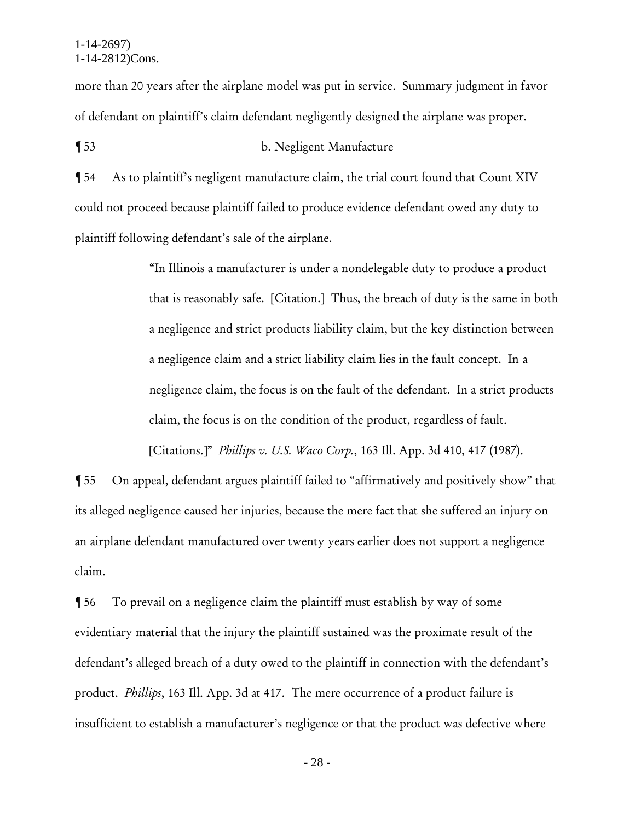more than 20 years after the airplane model was put in service. Summary judgment in favor of defendant on plaintiff's claim defendant negligently designed the airplane was proper.

¶ 53 b. Negligent Manufacture

¶ 54 As to plaintiff's negligent manufacture claim, the trial court found that Count XIV could not proceed because plaintiff failed to produce evidence defendant owed any duty to plaintiff following defendant's sale of the airplane.

> "In Illinois a manufacturer is under a nondelegable duty to produce a product that is reasonably safe. [Citation.] Thus, the breach of duty is the same in both a negligence and strict products liability claim, but the key distinction between a negligence claim and a strict liability claim lies in the fault concept. In a negligence claim, the focus is on the fault of the defendant. In a strict products claim, the focus is on the condition of the product, regardless of fault. [Citations.]" *Phillips v. U.S. Waco Corp.*, 163 Ill. App. 3d 410, 417 (1987).

¶ 55 On appeal, defendant argues plaintiff failed to "affirmatively and positively show" that its alleged negligence caused her injuries, because the mere fact that she suffered an injury on an airplane defendant manufactured over twenty years earlier does not support a negligence claim.

¶ 56 To prevail on a negligence claim the plaintiff must establish by way of some evidentiary material that the injury the plaintiff sustained was the proximate result of the defendant's alleged breach of a duty owed to the plaintiff in connection with the defendant's product. *Phillips*, 163 Ill. App. 3d at 417. The mere occurrence of a product failure is insufficient to establish a manufacturer's negligence or that the product was defective where

- 28 -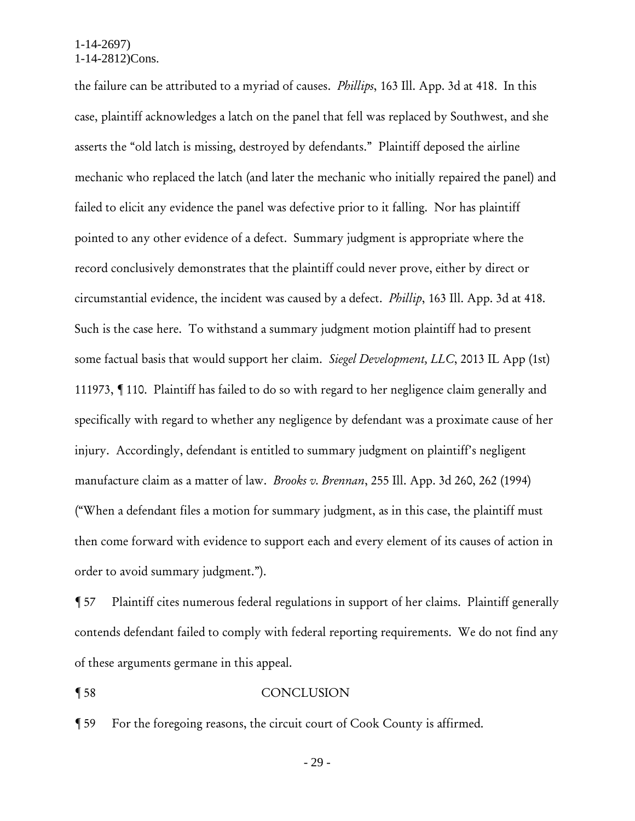the failure can be attributed to a myriad of causes. *Phillips*, 163 Ill. App. 3d at 418. In this case, plaintiff acknowledges a latch on the panel that fell was replaced by Southwest, and she asserts the "old latch is missing, destroyed by defendants." Plaintiff deposed the airline mechanic who replaced the latch (and later the mechanic who initially repaired the panel) and failed to elicit any evidence the panel was defective prior to it falling. Nor has plaintiff pointed to any other evidence of a defect. Summary judgment is appropriate where the record conclusively demonstrates that the plaintiff could never prove, either by direct or circumstantial evidence, the incident was caused by a defect. *Phillip*, 163 Ill. App. 3d at 418. Such is the case here. To withstand a summary judgment motion plaintiff had to present some factual basis that would support her claim. *Siegel Development, LLC*, 2013 IL App (1st) 111973, ¶ 110. Plaintiff has failed to do so with regard to her negligence claim generally and specifically with regard to whether any negligence by defendant was a proximate cause of her injury. Accordingly, defendant is entitled to summary judgment on plaintiff's negligent manufacture claim as a matter of law. *Brooks v. Brennan*, 255 Ill. App. 3d 260, 262 (1994) ("When a defendant files a motion for summary judgment, as in this case, the plaintiff must then come forward with evidence to support each and every element of its causes of action in order to avoid summary judgment.").

¶ 57 Plaintiff cites numerous federal regulations in support of her claims. Plaintiff generally contends defendant failed to comply with federal reporting requirements. We do not find any of these arguments germane in this appeal.

### ¶ 58 CONCLUSION

¶ 59 For the foregoing reasons, the circuit court of Cook County is affirmed.

- 29 -